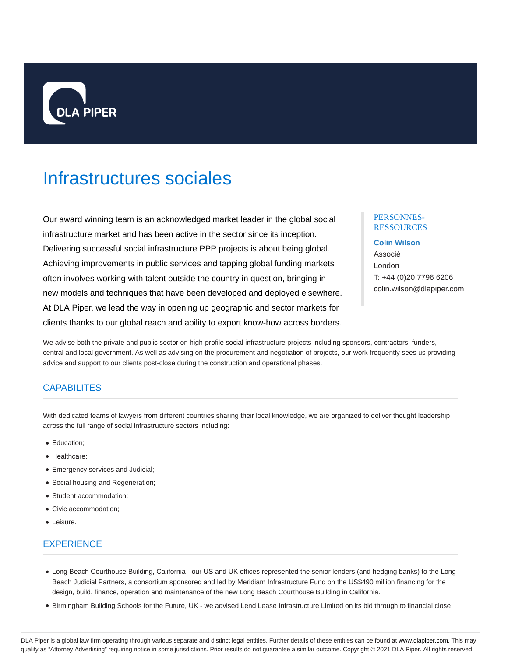

# Infrastructures sociales

Our award winning team is an acknowledged market leader in the global social infrastructure market and has been active in the sector since its inception. Delivering successful social infrastructure PPP projects is about being global. Achieving improvements in public services and tapping global funding markets often involves working with talent outside the country in question, bringing in new models and techniques that have been developed and deployed elsewhere. At DLA Piper, we lead the way in opening up geographic and sector markets for clients thanks to our global reach and ability to export know-how across borders.

### PERSONNES-RESSOURCES

#### **Colin Wilson**

Associé London T: +44 (0)20 7796 6206 colin.wilson@dlapiper.com

We advise both the private and public sector on high-profile social infrastructure projects including sponsors, contractors, funders, central and local government. As well as advising on the procurement and negotiation of projects, our work frequently sees us providing advice and support to our clients post-close during the construction and operational phases.

## **CAPABILITES**

With dedicated teams of lawyers from different countries sharing their local knowledge, we are organized to deliver thought leadership across the full range of social infrastructure sectors including:

- Education;
- Healthcare:
- Emergency services and Judicial;
- Social housing and Regeneration;
- Student accommodation;
- Civic accommodation;
- Leisure.

## **EXPERIENCE**

- Long Beach Courthouse Building, California our US and UK offices represented the senior lenders (and hedging banks) to the Long Beach Judicial Partners, a consortium sponsored and led by Meridiam Infrastructure Fund on the US\$490 million financing for the design, build, finance, operation and maintenance of the new Long Beach Courthouse Building in California.
- Birmingham Building Schools for the Future, UK we advised Lend Lease Infrastructure Limited on its bid through to financial close

DLA Piper is a global law firm operating through various separate and distinct legal entities. Further details of these entities can be found at www.dlapiper.com. This may qualify as "Attorney Advertising" requiring notice in some jurisdictions. Prior results do not guarantee a similar outcome. Copyright @ 2021 DLA Piper. All rights reserved.